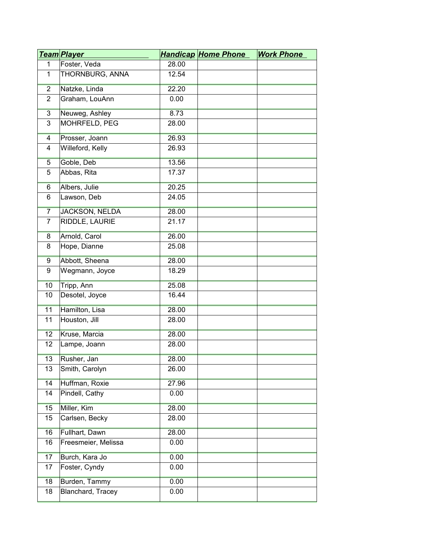|                | <u>Team Player</u>    |       | <b>Handicap Home Phone</b> | <b>Work Phone</b> |
|----------------|-----------------------|-------|----------------------------|-------------------|
| $\mathbf{1}$   | Foster, Veda          | 28.00 |                            |                   |
| $\mathbf{1}$   | THORNBURG, ANNA       | 12.54 |                            |                   |
| $\overline{2}$ | Natzke, Linda         | 22.20 |                            |                   |
| $\overline{2}$ | Graham, LouAnn        | 0.00  |                            |                   |
| $\overline{3}$ | Neuweg, Ashley        | 8.73  |                            |                   |
| 3              | MOHRFELD, PEG         | 28.00 |                            |                   |
| $\overline{4}$ | Prosser, Joann        | 26.93 |                            |                   |
| 4              | Willeford, Kelly      | 26.93 |                            |                   |
| 5              | Goble, Deb            | 13.56 |                            |                   |
| 5              | Abbas, Rita           | 17.37 |                            |                   |
| $6\overline{}$ | Albers, Julie         | 20.25 |                            |                   |
| 6              | Lawson, Deb           | 24.05 |                            |                   |
| $\overline{7}$ | <b>JACKSON, NELDA</b> | 28.00 |                            |                   |
| $\overline{7}$ | RIDDLE, LAURIE        | 21.17 |                            |                   |
| 8              | Arnold, Carol         | 26.00 |                            |                   |
| 8              | Hope, Dianne          | 25.08 |                            |                   |
| 9              | Abbott, Sheena        | 28.00 |                            |                   |
| 9              | Wegmann, Joyce        | 18.29 |                            |                   |
| 10             | Tripp, Ann            | 25.08 |                            |                   |
| 10             | Desotel, Joyce        | 16.44 |                            |                   |
| 11             | Hamilton, Lisa        | 28.00 |                            |                   |
| 11             | Houston, Jill         | 28.00 |                            |                   |
| 12             | Kruse, Marcia         | 28.00 |                            |                   |
| 12             | Lampe, Joann          | 28.00 |                            |                   |
| 13             | Rusher, Jan           | 28.00 |                            |                   |
| 13             | Smith, Carolyn        | 26.00 |                            |                   |
| 14             | Huffman, Roxie        | 27.96 |                            |                   |
| 14             | Pindell, Cathy        | 0.00  |                            |                   |
| 15             | Miller, Kim           | 28.00 |                            |                   |
| 15             | Carlsen, Becky        | 28.00 |                            |                   |
| 16             | Fullhart, Dawn        | 28.00 |                            |                   |
| 16             | Freesmeier, Melissa   | 0.00  |                            |                   |
| 17             | Burch, Kara Jo        | 0.00  |                            |                   |
| 17             | Foster, Cyndy         | 0.00  |                            |                   |
| 18             | Burden, Tammy         | 0.00  |                            |                   |
| 18             | Blanchard, Tracey     | 0.00  |                            |                   |